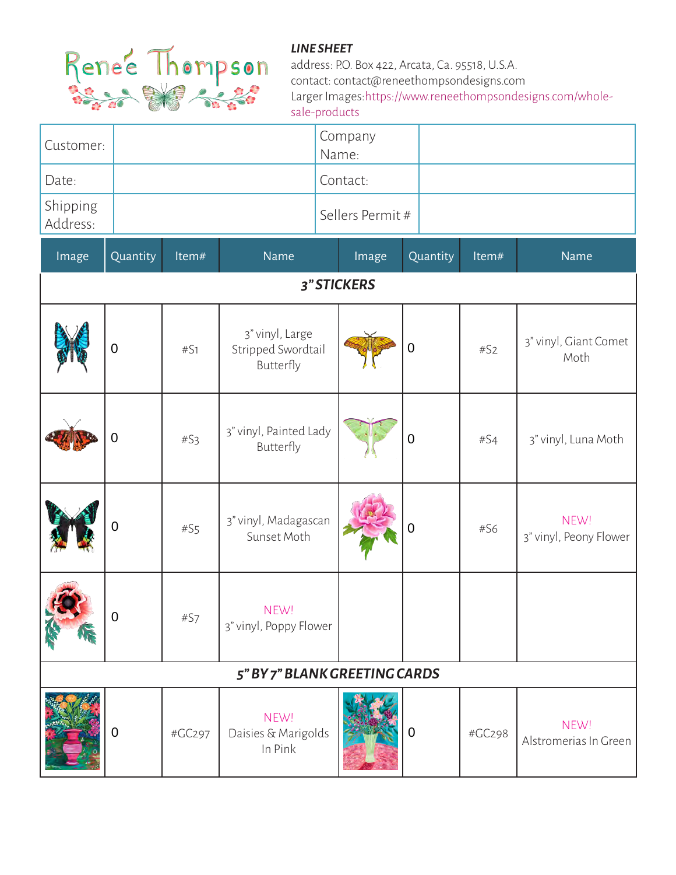

| Customer:            | Company<br>Name: |
|----------------------|------------------|
| Date:                | Contact:         |
| Shipping<br>Address: | Sellers Permit#  |

| Image                         | Quantity       | Item#           | Name                                               | Image | Quantity    | Item#  | <b>Name</b>                    |  |
|-------------------------------|----------------|-----------------|----------------------------------------------------|-------|-------------|--------|--------------------------------|--|
| 3" STICKERS                   |                |                 |                                                    |       |             |        |                                |  |
|                               | $\mathbf 0$    | #S1             | 3" vinyl, Large<br>Stripped Swordtail<br>Butterfly |       | $\mathbf 0$ | #S2    | 3" vinyl, Giant Comet<br>Moth  |  |
|                               | $\mathbf 0$    | #S <sub>3</sub> | 3" vinyl, Painted Lady<br>Butterfly                |       | $\mathbf 0$ | #S4    | 3" vinyl, Luna Moth            |  |
|                               | $\mathbf 0$    | #S <sub>5</sub> | 3" vinyl, Madagascan<br>Sunset Moth                |       | 0           | #S6    | NEW!<br>3" vinyl, Peony Flower |  |
|                               | $\overline{0}$ | #S7             | NEW!<br>3" vinyl, Poppy Flower                     |       |             |        |                                |  |
| 5" BY 7" BLANK GREETING CARDS |                |                 |                                                    |       |             |        |                                |  |
|                               | $\mathbf 0$    | #GC297          | NEW!<br>Daisies & Marigolds<br>In Pink             |       | $\mathbf 0$ | #GC298 | NEW!<br>Alstromerias In Green  |  |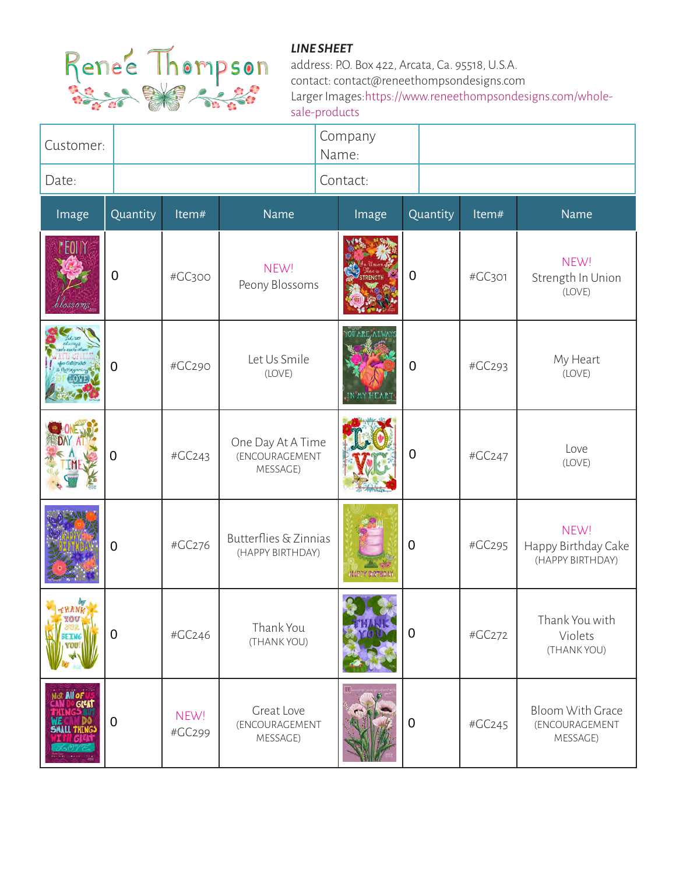

| Customer:                                  |             |                |                                                 | Company<br>Name: |                  |        |                                                 |
|--------------------------------------------|-------------|----------------|-------------------------------------------------|------------------|------------------|--------|-------------------------------------------------|
| Date:                                      |             |                |                                                 | Contact:         |                  |        |                                                 |
| Image                                      | Quantity    | Item#          | Name                                            | Image            | Quantity         | Item#  | <b>Name</b>                                     |
|                                            | $\mathbf 0$ | #GC300         | NEW!<br>Peony Blossoms                          |                  | $\overline{0}$   | #GC301 | NEW!<br>Strength In Union<br>(LOVE)             |
|                                            | $\mathbf 0$ | #GC290         | Let Us Smile<br>(LOVE)                          |                  | $\mathbf 0$      | #GC293 | My Heart<br>(LOVE)                              |
|                                            | 0           | #GC243         | One Day At A Time<br>(ENCOURAGEMENT<br>MESSAGE) |                  | $\mathbf 0$      | #GC247 | Love<br>(LOVE)                                  |
|                                            | 0           | #GC276         | Butterflies & Zinnias<br>(HAPPY BIRTHDAY)       |                  | $\mathbf 0$      | #GC295 | NEW!<br>Happy Birthday Cake<br>(HAPPY BIRTHDAY) |
|                                            | $\mathbf 0$ | #GC246         | Thank You<br>(THANK YOU)                        |                  | $\mathbf 0$      | #GC272 | Thank You with<br>Violets<br>(THANK YOU)        |
| All of US<br>De great<br><b>SMALL THIN</b> | $\mathbf 0$ | NEW!<br>#GC299 | Great Love<br>(ENCOURAGEMENT<br>MESSAGE)        |                  | $\boldsymbol{0}$ | #GC245 | Bloom With Grace<br>(ENCOURAGEMENT<br>MESSAGE)  |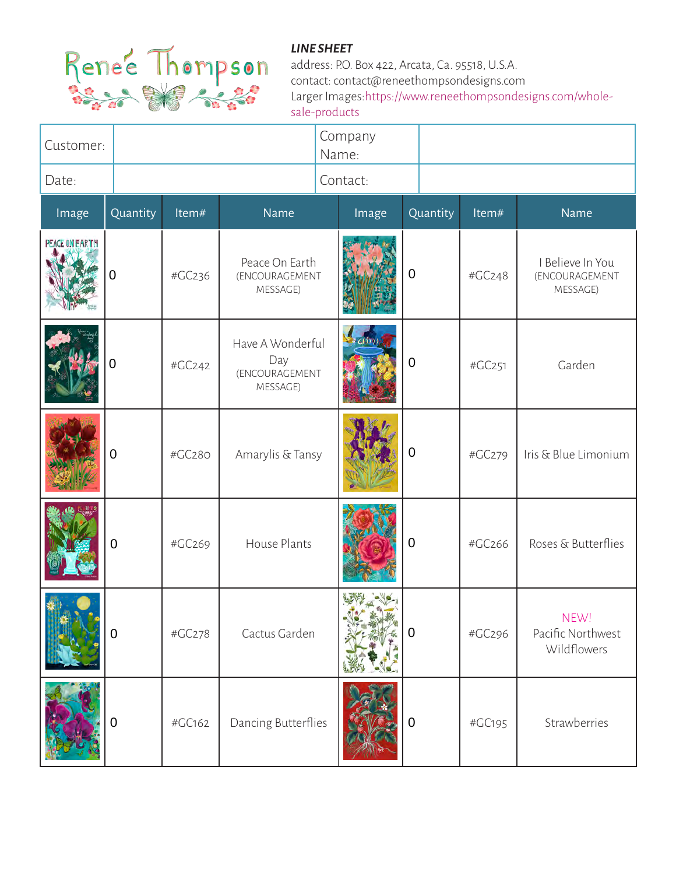

| Customer:             |                  |        |                                                       |  | Company<br>Name: |                |        |                                                |
|-----------------------|------------------|--------|-------------------------------------------------------|--|------------------|----------------|--------|------------------------------------------------|
| Date:                 |                  |        |                                                       |  | Contact:         |                |        |                                                |
| Image                 | Quantity         | Item#  | Name                                                  |  | Image            | Quantity       | Item#  | Name                                           |
| <b>PEACE ON EARTH</b> | 0                | #GC236 | Peace On Earth<br>(ENCOURAGEMENT<br>MESSAGE)          |  |                  | $\mathbf 0$    | #GC248 | I Believe In You<br>(ENCOURAGEMENT<br>MESSAGE) |
|                       | 0                | #GC242 | Have A Wonderful<br>Day<br>(ENCOURAGEMENT<br>MESSAGE) |  |                  | $\mathbf 0$    | #GC251 | Garden                                         |
|                       | 0                | #GC280 | Amarylis & Tansy                                      |  |                  | $\mathbf 0$    | #GC279 | Iris & Blue Limonium                           |
|                       | 0                | #GC269 | House Plants                                          |  |                  | $\mathbf 0$    | #GC266 | Roses & Butterflies                            |
|                       | $\boldsymbol{0}$ | #GC278 | Cactus Garden                                         |  |                  | $\overline{0}$ | #GC296 | NEW!<br>Pacific Northwest<br>Wildflowers       |
|                       | 0                | #GC162 | Dancing Butterflies                                   |  |                  | $\mathbf 0$    | #GC195 | Strawberries                                   |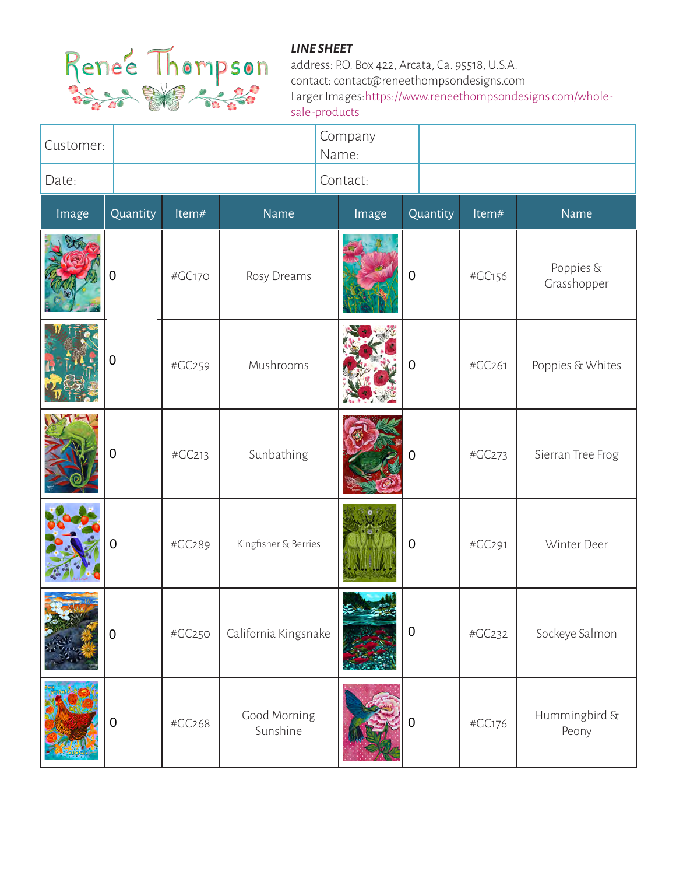

| Customer: |             |        |                          | Company<br>Name: |                  |        |                          |
|-----------|-------------|--------|--------------------------|------------------|------------------|--------|--------------------------|
| Date:     |             |        |                          | Contact:         |                  |        |                          |
| Image     | Quantity    | Item#  | Name                     | Image            | Quantity         | Item#  | Name                     |
|           | 0           | #GC170 | Rosy Dreams              |                  | $\boldsymbol{0}$ | #GC156 | Poppies &<br>Grasshopper |
|           | 0           | #GC259 | Mushrooms                |                  | $\overline{0}$   | #GC261 | Poppies & Whites         |
|           | 0           | #GC213 | Sunbathing               |                  | $\overline{0}$   | #GC273 | Sierran Tree Frog        |
|           | 0           | #GC289 | Kingfisher & Berries     |                  | $\mathbf 0$      | #GC291 | Winter Deer              |
|           | $\mathbf 0$ | #GC250 | California Kingsnake     |                  | $\mathbf 0$      | #GC232 | Sockeye Salmon           |
|           | 0           | #GC268 | Good Morning<br>Sunshine |                  | $\mathbf 0$      | #GC176 | Hummingbird &<br>Peony   |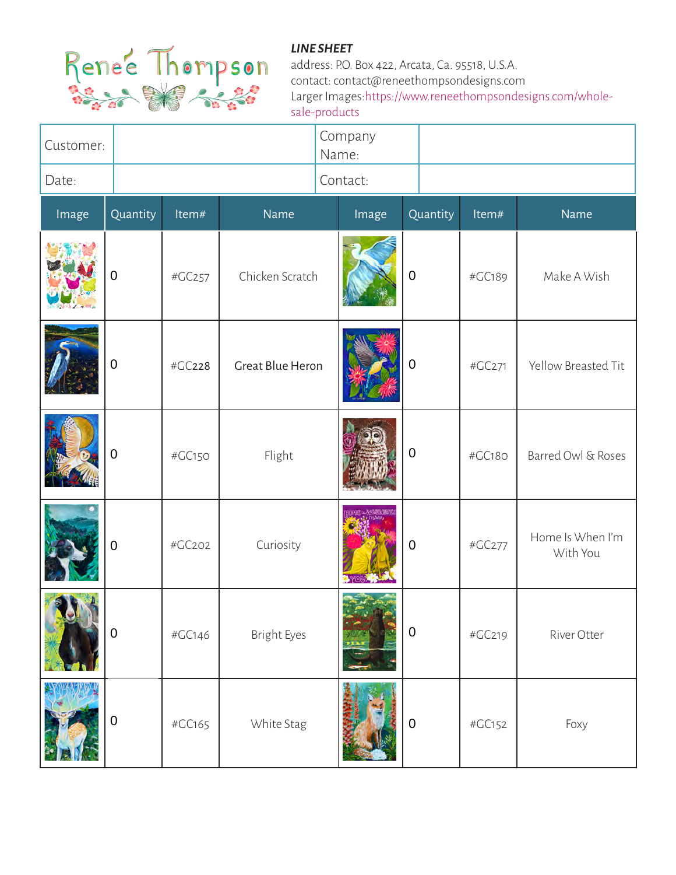

| Customer: |             |        |                         | Company<br>Name: |                  |        |                              |
|-----------|-------------|--------|-------------------------|------------------|------------------|--------|------------------------------|
| Date:     |             |        |                         | Contact:         |                  |        |                              |
| Image     | Quantity    | Item#  | Name                    | Image            | Quantity         | Item#  | Name                         |
|           | $\mathbf 0$ | #GC257 | Chicken Scratch         |                  | $\mathbf 0$      | #GC189 | Make A Wish                  |
|           | 0           | #GC228 | <b>Great Blue Heron</b> |                  | $\mathbf 0$      | #GC271 | Yellow Breasted Tit          |
|           | $\mathbf 0$ | #GC150 | Flight                  |                  | $\mathbf 0$      | #GC180 | Barred Owl & Roses           |
|           | $\mathbf 0$ | #GC202 | Curiosity               |                  | $\mathbf 0$      | #GC277 | Home Is When I'm<br>With You |
|           | $\pmb{0}$   | #GC146 | <b>Bright Eyes</b>      |                  | $\pmb{0}$        | #GC219 | River Otter                  |
|           | $\pmb{0}$   | #GC165 | White Stag              |                  | $\boldsymbol{0}$ | #GC152 | Foxy                         |